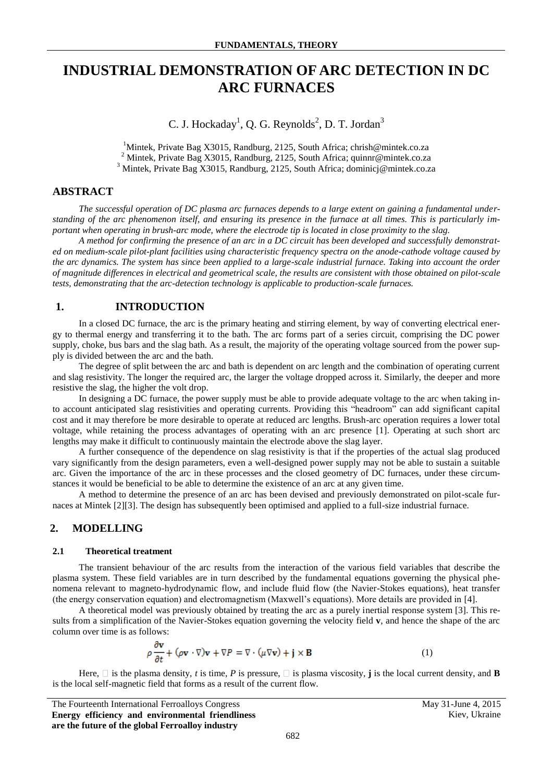# **INDUSTRIAL DEMONSTRATION OF ARC DETECTION IN DC ARC FURNACES**

C. J. Hockaday<sup>1</sup>, Q. G. Reynolds<sup>2</sup>, D. T. Jordan<sup>3</sup>

<sup>1</sup>Mintek, Private Bag X3015, Randburg, 2125, South Africa; chrish@mintek.co.za <sup>2</sup> Mintek, Private Bag X3015, Randburg, 2125, South Africa; quinnr@mintek.co.za <sup>3</sup> Mintek, Private Bag X3015, Randburg, 2125, South Africa; dominici@mintek.co.za

### **ABSTRACT**

*The successful operation of DC plasma arc furnaces depends to a large extent on gaining a fundamental understanding of the arc phenomenon itself, and ensuring its presence in the furnace at all times. This is particularly important when operating in brush-arc mode, where the electrode tip is located in close proximity to the slag.*

*A method for confirming the presence of an arc in a DC circuit has been developed and successfully demonstrated on medium-scale pilot-plant facilities using characteristic frequency spectra on the anode-cathode voltage caused by the arc dynamics. The system has since been applied to a large-scale industrial furnace. Taking into account the order of magnitude differences in electrical and geometrical scale, the results are consistent with those obtained on pilot-scale tests, demonstrating that the arc-detection technology is applicable to production-scale furnaces.*

#### **1. INTRODUCTION**

In a closed DC furnace, the arc is the primary heating and stirring element, by way of converting electrical energy to thermal energy and transferring it to the bath. The arc forms part of a series circuit, comprising the DC power supply, choke, bus bars and the slag bath. As a result, the majority of the operating voltage sourced from the power supply is divided between the arc and the bath.

The degree of split between the arc and bath is dependent on arc length and the combination of operating current and slag resistivity. The longer the required arc, the larger the voltage dropped across it. Similarly, the deeper and more resistive the slag, the higher the volt drop.

In designing a DC furnace, the power supply must be able to provide adequate voltage to the arc when taking into account anticipated slag resistivities and operating currents. Providing this "headroom" can add significant capital cost and it may therefore be more desirable to operate at reduced arc lengths. Brush-arc operation requires a lower total voltage, while retaining the process advantages of operating with an arc presence [\[1\].](#page-5-0) Operating at such short arc lengths may make it difficult to continuously maintain the electrode above the slag layer.

A further consequence of the dependence on slag resistivity is that if the properties of the actual slag produced vary significantly from the design parameters, even a well-designed power supply may not be able to sustain a suitable arc. Given the importance of the arc in these processes and the closed geometry of DC furnaces, under these circumstances it would be beneficial to be able to determine the existence of an arc at any given time.

A method to determine the presence of an arc has been devised and previously demonstrated on pilot-scale furnaces at Mintek [\[2\]\[3\].](#page-5-1) The design has subsequently been optimised and applied to a full-size industrial furnace.

### **2. MODELLING**

#### **2.1 Theoretical treatment**

The transient behaviour of the arc results from the interaction of the various field variables that describe the plasma system. These field variables are in turn described by the fundamental equations governing the physical phenomena relevant to magneto-hydrodynamic flow, and include fluid flow (the Navier-Stokes equations), heat transfer (the energy conservation equation) and electromagnetism (Maxwell's equations). More details are provided in [\[4\].](#page-6-0)

A theoretical model was previously obtained by treating the arc as a purely inertial response system [\[3\].](#page-5-2) This results from a simplification of the Navier-Stokes equation governing the velocity field **v**, and hence the shape of the arc column over time is as follows:

$$
\rho \frac{\partial \mathbf{v}}{\partial t} + (\rho \mathbf{v} \cdot \nabla) \mathbf{v} + \nabla P = \nabla \cdot (\mu \nabla \mathbf{v}) + \mathbf{j} \times \mathbf{B}
$$
 (1)

Here,  $\Box$  is the plasma density, *t* is time, *P* is pressure,  $\Box$  is plasma viscosity, **j** is the local current density, and **B** is the local self-magnetic field that forms as a result of the current flow.

The Fourteenth International Ferroalloys Congress May 31-June 4, 2015 **Energy efficiency and environmental friendliness are the future of the global Ferroalloy industry**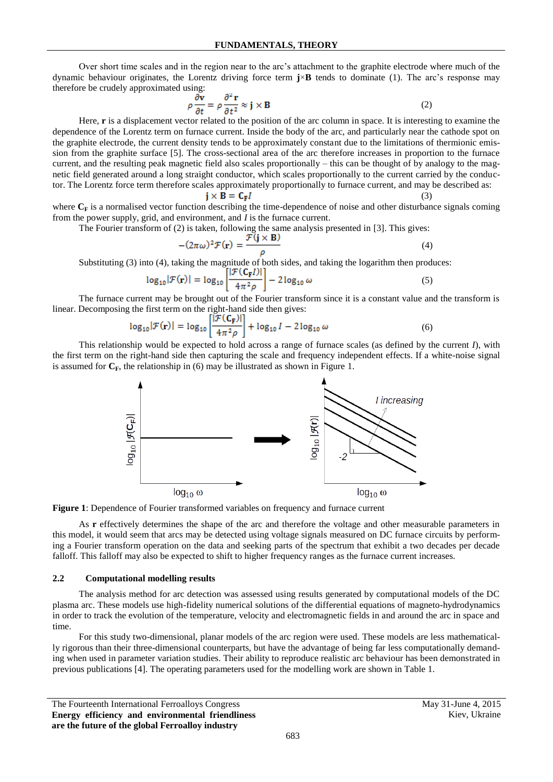Over short time scales and in the region near to the arc's attachment to the graphite electrode where much of the dynamic behaviour originates, the Lorentz driving force term **j**×**B** tends to dominate (1). The arc's response may therefore be crudely approximated using:

$$
\rho \frac{\partial \mathbf{v}}{\partial t} = \rho \frac{\partial^2 \mathbf{r}}{\partial t^2} \approx \mathbf{j} \times \mathbf{B}
$$
 (2)

Here, **r** is a displacement vector related to the position of the arc column in space. It is interesting to examine the dependence of the Lorentz term on furnace current. Inside the body of the arc, and particularly near the cathode spot on the graphite electrode, the current density tends to be approximately constant due to the limitations of thermionic emission from the graphite surface [\[5\].](#page-6-1) The cross-sectional area of the arc therefore increases in proportion to the furnace current, and the resulting peak magnetic field also scales proportionally – this can be thought of by analogy to the magnetic field generated around a long straight conductor, which scales proportionally to the current carried by the conductor. The Lorentz force term therefore scales approximately proportionally to furnace current, and may be described as:  $\mathbf{i} \times \mathbf{B} = \mathbf{C}_{\mathbf{F}}I$ (3)

where  $C_F$  is a normalised vector function describing the time-dependence of noise and other disturbance signals coming from the power supply, grid, and environment, and *I* is the furnace current.

The Fourier transform of (2) is taken, following the same analysis presented in [\[3\].](#page-5-2) This gives:

$$
-(2\pi\omega)^2 \mathcal{F}(\mathbf{r}) = \frac{\mathcal{F}(\mathbf{y} \times \mathbf{B})}{\rho}
$$
(4)

Substituting (3) into (4), taking the magnitude of both sides, and taking the logarithm then produces:

$$
\log_{10} |\mathcal{F}(\mathbf{r})| = \log_{10} \left[ \frac{\mathcal{F}(\mathbf{C}_{\mathbf{F}} I)}{4\pi^2 \rho} \right] - 2\log_{10} \omega \tag{5}
$$

The furnace current may be brought out of the Fourier transform since it is a constant value and the transform is linear. Decomposing the first term on the right-hand side then gives:

$$
\log_{10} |\mathcal{F}(\mathbf{r})| = \log_{10} \left| \frac{\mathcal{F}(\mathbf{C_F})}{4\pi^2 \rho} \right| + \log_{10} I - 2\log_{10} \omega \tag{6}
$$

This relationship would be expected to hold across a range of furnace scales (as defined by the current *I*), with the first term on the right-hand side then capturing the scale and frequency independent effects. If a white-noise signal is assumed for  $C_F$ , the relationship in (6) may be illustrated as shown in Figure 1.



**Figure 1**: Dependence of Fourier transformed variables on frequency and furnace current

As **r** effectively determines the shape of the arc and therefore the voltage and other measurable parameters in this model, it would seem that arcs may be detected using voltage signals measured on DC furnace circuits by performing a Fourier transform operation on the data and seeking parts of the spectrum that exhibit a two decades per decade falloff. This falloff may also be expected to shift to higher frequency ranges as the furnace current increases.

#### **2.2 Computational modelling results**

The analysis method for arc detection was assessed using results generated by computational models of the DC plasma arc. These models use high-fidelity numerical solutions of the differential equations of magneto-hydrodynamics in order to track the evolution of the temperature, velocity and electromagnetic fields in and around the arc in space and time.

For this study two-dimensional, planar models of the arc region were used. These models are less mathematically rigorous than their three-dimensional counterparts, but have the advantage of being far less computationally demanding when used in parameter variation studies. Their ability to reproduce realistic arc behaviour has been demonstrated in previous publications [\[4\].](#page-6-0) The operating parameters used for the modelling work are shown in Table 1.

The Fourteenth International Ferroalloys Congress May 31-June 4, 2015 **Energy efficiency and environmental friendliness are the future of the global Ferroalloy industry**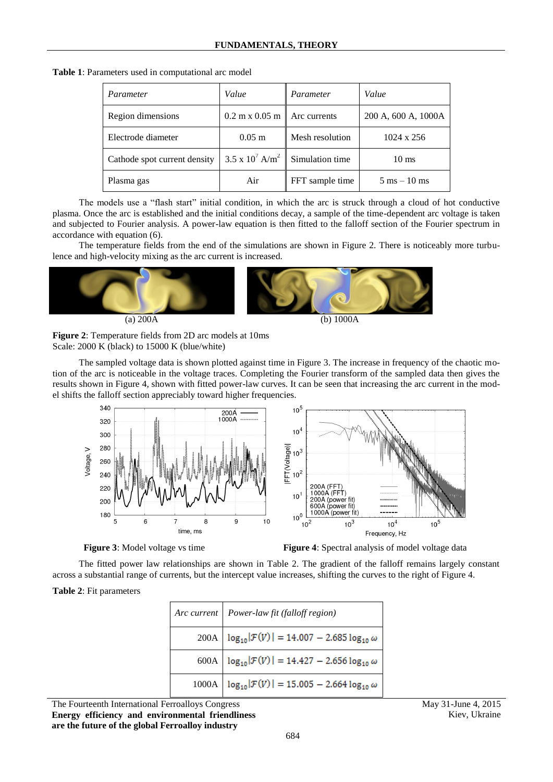| Parameter                    | Value                                 | Parameter       | Value                          |
|------------------------------|---------------------------------------|-----------------|--------------------------------|
| Region dimensions            | $0.2 \text{ m} \times 0.05 \text{ m}$ | Arc currents    | 200 A, 600 A, 1000A            |
| Electrode diameter           | $0.05$ m                              | Mesh resolution | 1024 x 256                     |
| Cathode spot current density | $3.5 \times 10^7$ A/m <sup>2</sup>    | Simulation time | $10 \text{ ms}$                |
| Plasma gas                   | Air                                   | FFT sample time | $5 \text{ ms} - 10 \text{ ms}$ |

The models use a "flash start" initial condition, in which the arc is struck through a cloud of hot conductive plasma. Once the arc is established and the initial conditions decay, a sample of the time-dependent arc voltage is taken and subjected to Fourier analysis. A power-law equation is then fitted to the falloff section of the Fourier spectrum in accordance with equation (6).

The temperature fields from the end of the simulations are shown in Figure 2. There is noticeably more turbulence and high-velocity mixing as the arc current is increased.



(a) 200A (b) 1000A

**Figure 2**: Temperature fields from 2D arc models at 10ms Scale: 2000 K (black) to 15000 K (blue/white)

The sampled voltage data is shown plotted against time in Figure 3. The increase in frequency of the chaotic motion of the arc is noticeable in the voltage traces. Completing the Fourier transform of the sampled data then gives the results shown in Figure 4, shown with fitted power-law curves. It can be seen that increasing the arc current in the model shifts the falloff section appreciably toward higher frequencies.





**Figure 3**: Model voltage vs time **Figure 4**: Spectral analysis of model voltage data

The fitted power law relationships are shown in Table 2. The gradient of the falloff remains largely constant across a substantial range of currents, but the intercept value increases, shifting the curves to the right of Figure 4.

#### **Table 2**: Fit parameters

| Arc current   Power-law fit (falloff region)                           |
|------------------------------------------------------------------------|
| $200A \mid log_{10} \mathcal{F}(V)  = 14.007 - 2.685 log_{10} \omega$  |
| 600A $log_{10} \mathcal{F}(V)  = 14.427 - 2.656 log_{10} \omega$       |
| $1000A \mid log_{10} \mathcal{F}(V)  = 15.005 - 2.664 log_{10} \omega$ |

The Fourteenth International Ferroalloys Congress May 31-June 4, 2015

**Energy efficiency and environmental friendliness are the future of the global Ferroalloy industry**

Kiev, Ukraine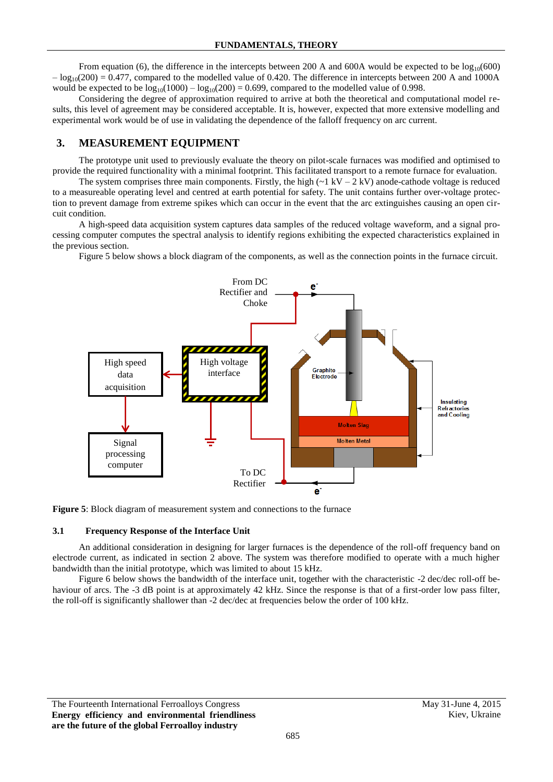From equation (6), the difference in the intercepts between 200 A and 600A would be expected to be  $log_{10}(600)$  $-$  log<sub>10</sub>(200) = 0.477, compared to the modelled value of 0.420. The difference in intercepts between 200 A and 1000A would be expected to be  $log_{10}(1000) - log_{10}(200) = 0.699$ , compared to the modelled value of 0.998.

Considering the degree of approximation required to arrive at both the theoretical and computational model results, this level of agreement may be considered acceptable. It is, however, expected that more extensive modelling and experimental work would be of use in validating the dependence of the falloff frequency on arc current.

## **3. MEASUREMENT EQUIPMENT**

The prototype unit used to previously evaluate the theory on pilot-scale furnaces was modified and optimised to provide the required functionality with a minimal footprint. This facilitated transport to a remote furnace for evaluation.

The system comprises three main components. Firstly, the high  $(-1 \text{ kV} - 2 \text{ kV})$  anode-cathode voltage is reduced to a measureable operating level and centred at earth potential for safety. The unit contains further over-voltage protection to prevent damage from extreme spikes which can occur in the event that the arc extinguishes causing an open circuit condition.

A high-speed data acquisition system captures data samples of the reduced voltage waveform, and a signal processing computer computes the spectral analysis to identify regions exhibiting the expected characteristics explained in the previous section.

Figure 5 below shows a block diagram of the components, as well as the connection points in the furnace circuit.



**Figure 5**: Block diagram of measurement system and connections to the furnace

#### **3.1 Frequency Response of the Interface Unit**

An additional consideration in designing for larger furnaces is the dependence of the roll-off frequency band on electrode current, as indicated in section 2 above. The system was therefore modified to operate with a much higher bandwidth than the initial prototype, which was limited to about 15 kHz.

Figure 6 below shows the bandwidth of the interface unit, together with the characteristic -2 dec/dec roll-off behaviour of arcs. The -3 dB point is at approximately 42 kHz. Since the response is that of a first-order low pass filter, the roll-off is significantly shallower than -2 dec/dec at frequencies below the order of 100 kHz.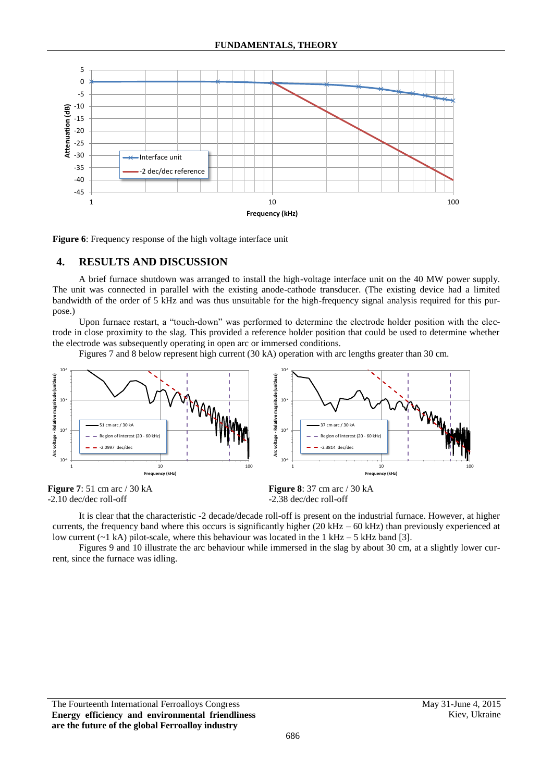



#### **4. RESULTS AND DISCUSSION**

A brief furnace shutdown was arranged to install the high-voltage interface unit on the 40 MW power supply. The unit was connected in parallel with the existing anode-cathode transducer. (The existing device had a limited bandwidth of the order of 5 kHz and was thus unsuitable for the high-frequency signal analysis required for this purpose.)

Upon furnace restart, a "touch-down" was performed to determine the electrode holder position with the electrode in close proximity to the slag. This provided a reference holder position that could be used to determine whether the electrode was subsequently operating in open arc or immersed conditions.

Figures 7 and 8 below represent high current (30 kA) operation with arc lengths greater than 30 cm.



-2.10 dec/dec roll-off

It is clear that the characteristic -2 decade/decade roll-off is present on the industrial furnace. However, at higher currents, the frequency band where this occurs is significantly higher (20 kHz – 60 kHz) than previously experienced at low current (~1 kA) pilot-scale, where this behaviour was located in the 1 kHz – 5 kHz band [\[3\].](#page-5-2)

-2.38 dec/dec roll-off

Figures 9 and 10 illustrate the arc behaviour while immersed in the slag by about 30 cm, at a slightly lower current, since the furnace was idling.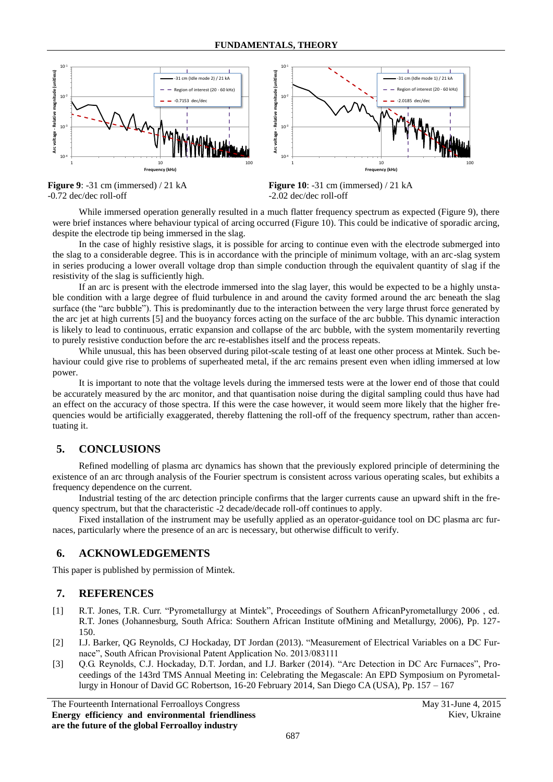

**Figure 9**: -31 cm (immersed) / 21 kA -0.72 dec/dec roll-off



While immersed operation generally resulted in a much flatter frequency spectrum as expected (Figure 9), there were brief instances where behaviour typical of arcing occurred (Figure 10). This could be indicative of sporadic arcing, despite the electrode tip being immersed in the slag.

In the case of highly resistive slags, it is possible for arcing to continue even with the electrode submerged into the slag to a considerable degree. This is in accordance with the principle of minimum voltage, with an arc-slag system in series producing a lower overall voltage drop than simple conduction through the equivalent quantity of slag if the resistivity of the slag is sufficiently high.

If an arc is present with the electrode immersed into the slag layer, this would be expected to be a highly unstable condition with a large degree of fluid turbulence in and around the cavity formed around the arc beneath the slag surface (the "arc bubble"). This is predominantly due to the interaction between the very large thrust force generated by the arc jet at high currents [\[5\]](#page-6-1) and the buoyancy forces acting on the surface of the arc bubble. This dynamic interaction is likely to lead to continuous, erratic expansion and collapse of the arc bubble, with the system momentarily reverting to purely resistive conduction before the arc re-establishes itself and the process repeats.

While unusual, this has been observed during pilot-scale testing of at least one other process at Mintek. Such behaviour could give rise to problems of superheated metal, if the arc remains present even when idling immersed at low power.

It is important to note that the voltage levels during the immersed tests were at the lower end of those that could be accurately measured by the arc monitor, and that quantisation noise during the digital sampling could thus have had an effect on the accuracy of those spectra. If this were the case however, it would seem more likely that the higher frequencies would be artificially exaggerated, thereby flattening the roll-off of the frequency spectrum, rather than accentuating it.

## **5. CONCLUSIONS**

Refined modelling of plasma arc dynamics has shown that the previously explored principle of determining the existence of an arc through analysis of the Fourier spectrum is consistent across various operating scales, but exhibits a frequency dependence on the current.

Industrial testing of the arc detection principle confirms that the larger currents cause an upward shift in the frequency spectrum, but that the characteristic -2 decade/decade roll-off continues to apply.

Fixed installation of the instrument may be usefully applied as an operator-guidance tool on DC plasma arc furnaces, particularly where the presence of an arc is necessary, but otherwise difficult to verify.

## **6. ACKNOWLEDGEMENTS**

This paper is published by permission of Mintek.

## **7. REFERENCES**

- <span id="page-5-0"></span>[1] R.T. Jones, T.R. Curr. "Pyrometallurgy at Mintek", Proceedings of Southern AfricanPyrometallurgy 2006 , ed. R.T. Jones (Johannesburg, South Africa: Southern African Institute ofMining and Metallurgy, 2006), Pp. 127- 150.
- <span id="page-5-1"></span>[2] I.J. Barker, QG Reynolds, CJ Hockaday, DT Jordan (2013). "Measurement of Electrical Variables on a DC Furnace", South African Provisional Patent Application No. 2013/083111
- <span id="page-5-2"></span>[3] Q.G. Reynolds, C.J. Hockaday, D.T. Jordan, and I.J. Barker (2014). "Arc Detection in DC Arc Furnaces", Proceedings of the 143rd TMS Annual Meeting in: Celebrating the Megascale: An EPD Symposium on Pyrometallurgy in Honour of David GC Robertson, 16-20 February 2014, San Diego CA (USA), Pp. 157 – 167

The Fourteenth International Ferroalloys Congress May 31-June 4, 2015 **Energy efficiency and environmental friendliness are the future of the global Ferroalloy industry**